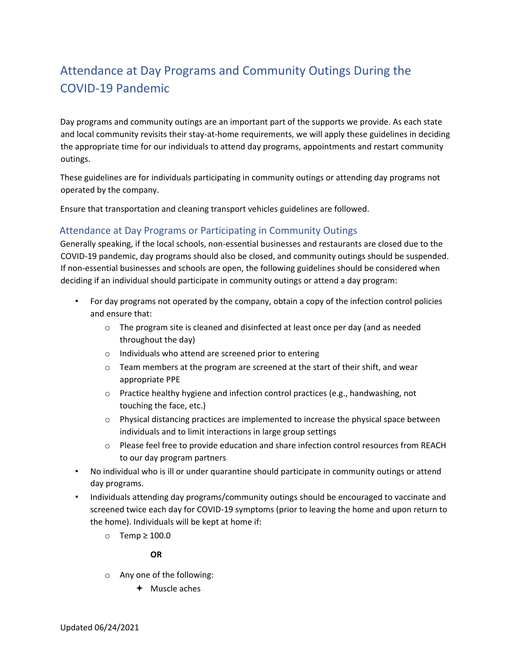## Attendance at Day Programs and Community Outings During the COVID-19 Pandemic

Day programs and community outings are an important part of the supports we provide. As each state and local community revisits their stay-at-home requirements, we will apply these guidelines in deciding the appropriate time for our individuals to attend day programs, appointments and restart community outings.

These guidelines are for individuals participating in community outings or attending day programs not operated by the company.

Ensure that transportation and cleaning transport vehicles guideline[s](https://reach.brightspringhealth.com/wp-content/uploads/Transportation-and-cleaning-and-disinfecting-transport-vehicles-05062020-V2.pdf) are followed.

## Attendance at Day Programs or Participating in Community Outings

Generally speaking, if the local schools, non-essential businesses and restaurants are closed due to the COVID-19 pandemic, day programs should also be closed, and community outings should be suspended. If non-essential businesses and schools are open, the following guidelines should be considered when deciding if an individual should participate in community outings or attend a day program:

- For day programs not operated by the company, obtain a copy of the infection control policies and ensure that:
	- $\circ$  The program site is cleaned and disinfected at least once per day (and as needed throughout the day)
	- o Individuals who attend are screened prior to entering
	- $\circ$  Team members at the program are screened at the start of their shift, and wear appropriate PPE
	- $\circ$  Practice healthy hygiene and infection control practices (e.g., handwashing, not touching the face, etc.)
	- $\circ$  Physical distancing practices are implemented to increase the physical space between individuals and to limit interactions in large group settings
	- o Please feel free to provide education and share infection control resources from REACH to our day program partners
- No individual who is ill or under quarantine should participate in community outings or attend day programs.
- Individuals attending day programs/community outings should be encouraged to vaccinate and screened twice each day for COVID-19 symptoms (prior to leaving the home and upon return to the home). Individuals will be kept at home if:
	- o Temp ≥ 100.0

## **OR**

- o Any one of the following:
	- Muscle aches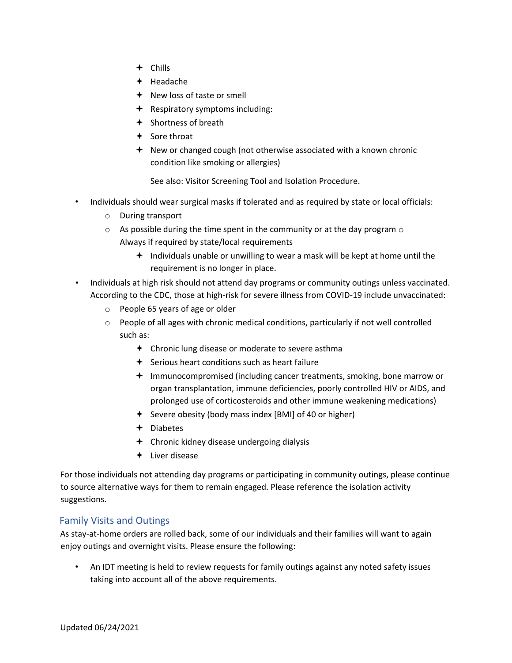- Chills
- $+$  Headache
- $\div$  New loss of taste or smell
- $\triangleq$  Respiratory symptoms including:
- $\div$  Shortness of breath
- $+$  Sore throat
- $\triangleq$  New or changed cough (not otherwise associated with a known chronic condition like smoking or allergies)

See also: Visitor Screening Tool [a](https://reach.brightspringhealth.com/wp-content/uploads/Visitor-Screening-Tool-05012020-v2.pdf)nd Isolation Procedur[e.](https://reach.brightspringhealth.com/wp-content/uploads/Isolation-Procedure_Residential-Client-Tests-Positive-for-COVID-19-v2-03312020.pdf)

- Individuals should wear surgical masks if tolerated and as required by state or local officials:
	- o During transport
	- $\circ$  As possible during the time spent in the community or at the day program  $\circ$ Always if required by state/local requirements
		- $\triangleq$  Individuals unable or unwilling to wear a mask will be kept at home until the requirement is no longer in place.
- Individuals at high risk should not attend day programs or community outings unless vaccinated. According to the CDC, those at high-risk for severe illness from COVID-19 include unvaccinated:
	- o People 65 years of age or older
	- o People of all ages with chronic medical conditions, particularly if not well controlled such as:
		- $\triangleleft$  Chronic lung disease or moderate to severe asthma
		- $\div$  Serious heart conditions such as heart failure
		- Immunocompromised (including cancer treatments, smoking, bone marrow or organ transplantation, immune deficiencies, poorly controlled HIV or AIDS, and prolonged use of corticosteroids and other immune weakening medications)
		- $\div$  Severe obesity (body mass index [BMI] of 40 or higher)
		- Diabetes
		- Chronic kidney disease undergoing dialysis
		- $+$  Liver disease

For those individuals not attending day programs or participating in community outings, please continue to source alternative ways for them to remain engaged. Please reference the isolation activit[y](https://reach.brightspringhealth.com/wp-content/uploads/Isolation-Activities-3.20.20-COVID-19.pdf) suggestion[s.](https://reach.brightspringhealth.com/wp-content/uploads/Isolation-Activities-3.20.20-COVID-19.pdf)

## Family Visits and Outings

As stay-at-home orders are rolled back, some of our individuals and their families will want to again enjoy outings and overnight visits. Please ensure the following:

• An IDT meeting is held to review requests for family outings against any noted safety issues taking into account all of the above requirements.